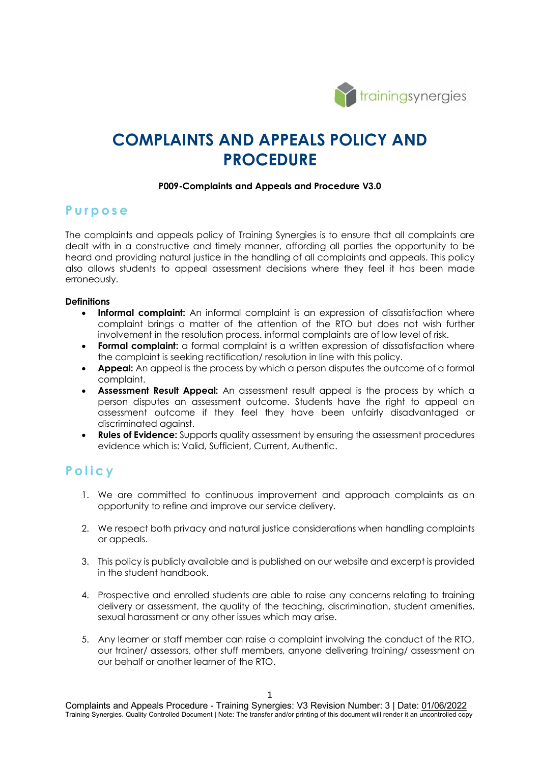

# **COMPLAINTS AND APPEALS POLICY AND PROCEDURE**

## **P009-Complaints and Appeals and Procedure V3.0**

## **Purpose**

The complaints and appeals policy of Training Synergies is to ensure that all complaints are dealt with in a constructive and timely manner, affording all parties the opportunity to be heard and providing natural justice in the handling of all complaints and appeals. This policy also allows students to appeal assessment decisions where they feel it has been made erroneously.

## **Definitions**

- **Informal complaint:** An informal complaint is an expression of dissatisfaction where complaint brings a matter of the attention of the RTO but does not wish further involvement in the resolution process. informal complaints are of low level of risk.
- **Formal complaint:** a formal complaint is a written expression of dissatisfaction where the complaint is seeking rectification/ resolution in line with this policy.
- **Appeal:** An appeal is the process by which a person disputes the outcome of a formal complaint.
- **Assessment Result Appeal:** An assessment result appeal is the process by which a person disputes an assessment outcome. Students have the right to appeal an assessment outcome if they feel they have been unfairly disadvantaged or discriminated against.
- **Rules of Evidence:** Supports quality assessment by ensuring the assessment procedures evidence which is: Valid, Sufficient, Current, Authentic.

## **Policy**

- 1. We are committed to continuous improvement and approach complaints as an opportunity to refine and improve our service delivery.
- 2. We respect both privacy and natural justice considerations when handling complaints or appeals.
- 3. This policy is publicly available and is published on our website and excerpt is provided in the student handbook.
- 4. Prospective and enrolled students are able to raise any concerns relating to training delivery or assessment, the quality of the teaching, discrimination, student amenities, sexual harassment or any other issues which may arise.
- 5. Any learner or staff member can raise a complaint involving the conduct of the RTO, our trainer/ assessors, other stuff members, anyone delivering training/ assessment on our behalf or another learner of the RTO.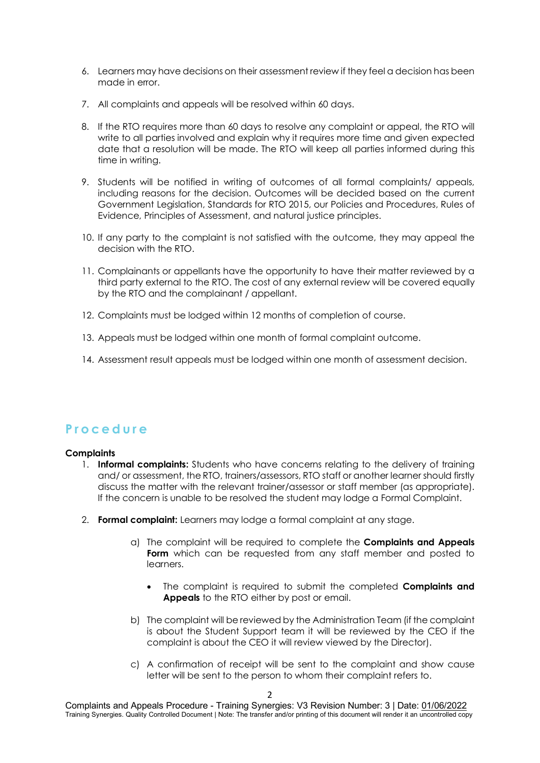- 6. Learners may have decisions on their assessment review if they feel a decision has been made in error.
- 7. All complaints and appeals will be resolved within 60 days.
- 8. If the RTO requires more than 60 days to resolve any complaint or appeal, the RTO will write to all parties involved and explain why it requires more time and given expected date that a resolution will be made. The RTO will keep all parties informed during this time in writing.
- 9. Students will be notified in writing of outcomes of all formal complaints/ appeals, including reasons for the decision. Outcomes will be decided based on the current Government Legislation, Standards for RTO 2015, our Policies and Procedures, Rules of Evidence, Principles of Assessment, and natural justice principles.
- 10. If any party to the complaint is not satisfied with the outcome, they may appeal the decision with the RTO.
- 11. Complainants or appellants have the opportunity to have their matter reviewed by a third party external to the RTO. The cost of any external review will be covered equally by the RTO and the complainant / appellant.
- 12. Complaints must be lodged within 12 months of completion of course.
- 13. Appeals must be lodged within one month of formal complaint outcome.
- 14. Assessment result appeals must be lodged within one month of assessment decision.

## **Procedure**

### **Complaints**

- 1. **Informal complaints:** Students who have concerns relating to the delivery of training and/ or assessment, the RTO, trainers/assessors, RTO staff or another learner should firstly discuss the matter with the relevant trainer/assessor or staff member (as appropriate). If the concern is unable to be resolved the student may lodge a Formal Complaint.
- 2. **Formal complaint:** Learners may lodge a formal complaint at any stage.
	- a) The complaint will be required to complete the **Complaints and Appeals Form** which can be requested from any staff member and posted to learners.
		- The complaint is required to submit the completed **Complaints and Appeals** to the RTO either by post or email.
	- b) The complaint will be reviewed by the Administration Team (if the complaint is about the Student Support team it will be reviewed by the CEO if the complaint is about the CEO it will review viewed by the Director).
	- c) A confirmation of receipt will be sent to the complaint and show cause letter will be sent to the person to whom their complaint refers to.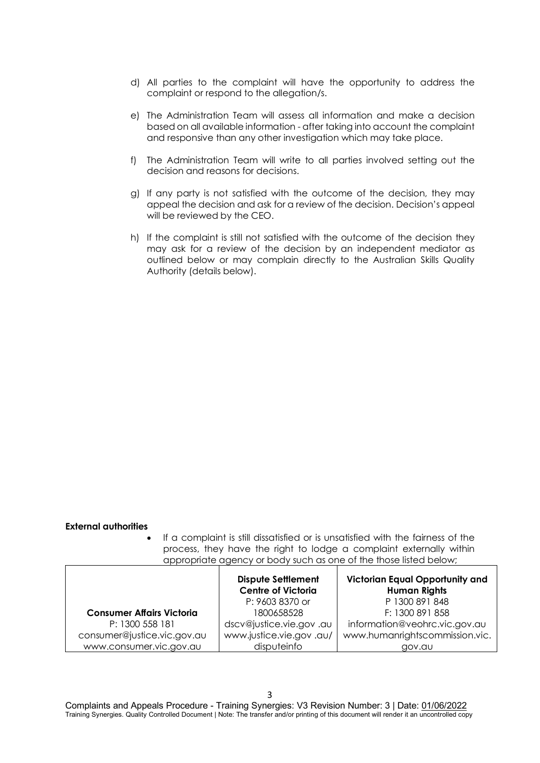- d) All parties to the complaint will have the opportunity to address the complaint or respond to the allegation/s.
- e) The Administration Team will assess all information and make a decision based on all available information - after taking into account the complaint and responsive than any other investigation which may take place.
- f) The Administration Team will write to all parties involved setting out the decision and reasons for decisions.
- g) If any party is not satisfied with the outcome of the decision, they may appeal the decision and ask for a review of the decision. Decision's appeal will be reviewed by the CEO.
- h) If the complaint is still not satisfied with the outcome of the decision they may ask for a review of the decision by an independent mediator as outlined below or may complain directly to the Australian Skills Quality Authority (details below).

#### **External authorities**

If a complaint is still dissatisfied or is unsatisfied with the fairness of the process, they have the right to lodge a complaint externally within appropriate agency or body such as one of the those listed below;

|                                  | <b>Dispute Settlement</b><br><b>Centre of Victoria</b> | <b>Victorian Equal Opportunity and</b><br><b>Human Rights</b> |
|----------------------------------|--------------------------------------------------------|---------------------------------------------------------------|
|                                  | P: 9603 8370 or                                        | P 1300 891 848                                                |
| <b>Consumer Affairs Victoria</b> | 1800658528                                             | F: 1300 891 858                                               |
| P: 1300 558 181                  | dscv@justice.vie.gov.au                                | information@veohrc.vic.gov.au                                 |
| consumer@justice.vic.gov.au      | www.justice.vie.gov.au/                                | www.humanrightscommission.vic.                                |
| www.consumer.vic.gov.au          | disputeinfo                                            | gov.au                                                        |